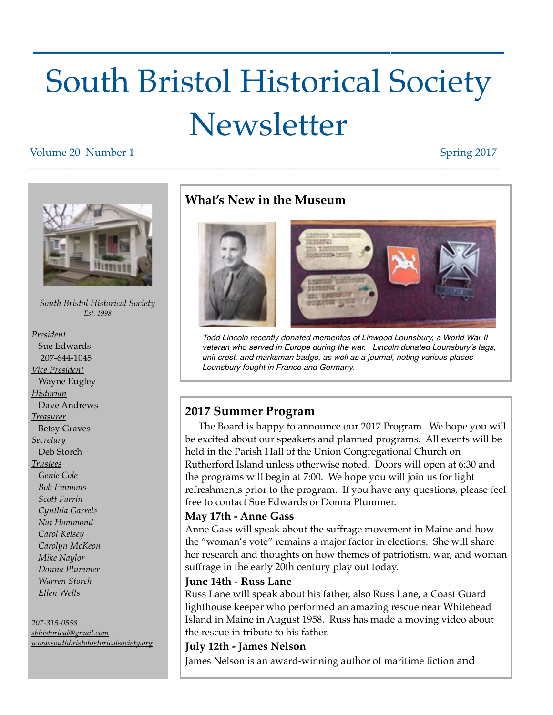# South Bristol Historical Society **Newsletter**

 $\frac{1}{2}$  ,  $\frac{1}{2}$  ,  $\frac{1}{2}$  ,  $\frac{1}{2}$  ,  $\frac{1}{2}$  ,  $\frac{1}{2}$  ,  $\frac{1}{2}$  ,  $\frac{1}{2}$  ,  $\frac{1}{2}$  ,  $\frac{1}{2}$  ,  $\frac{1}{2}$  ,  $\frac{1}{2}$  ,  $\frac{1}{2}$  ,  $\frac{1}{2}$  ,  $\frac{1}{2}$  ,  $\frac{1}{2}$  ,  $\frac{1}{2}$  ,  $\frac{1}{2}$  ,  $\frac{1$ 

#### Volume 20 Number 1 Spring 2017



*Treasurer* **Betsy Graves** *Secretary* Deb Storch *Trustees Genie Cole Bob Emmons Scott Farrin Cynthia Garrels Nat Hammond Carol Kelsey Carolyn McKeon Mike Naylor Donna Plummer Warren Storch Ellen Wells*

#### *207-315-0558*

*[sbhistorical@gmail.com](mailto:sbhistorical@gmail.com?subject=) [www.southbristohistoricalsociety.org](http://www.southbristohistoricalsociety.org)*

## **What's New in the Museum**

\_\_\_\_\_\_\_\_\_\_\_\_\_\_\_\_\_\_\_\_\_\_\_\_\_\_\_\_\_\_\_\_\_\_\_\_\_\_\_\_\_\_\_\_\_\_\_\_\_\_\_\_\_\_\_\_\_\_\_\_\_\_\_\_\_\_\_\_\_\_\_\_\_\_\_\_\_\_\_\_\_\_\_\_\_\_\_\_\_\_\_\_\_\_\_\_\_\_\_\_\_\_\_\_



*Todd Lincoln recently donated mementos of Linwood Lounsbury, a World War II veteran who served in Europe during the war. Lincoln donated Lounsbury's tags, unit crest, and marksman badge, as well as a journal, noting various places Lounsbury fought in France and Germany.* 

## **2017 Summer Program**

 The Board is happy to announce our 2017 Program. We hope you will be excited about our speakers and planned programs. All events will be held in the Parish Hall of the Union Congregational Church on Rutherford Island unless otherwise noted. Doors will open at 6:30 and the programs will begin at 7:00. We hope you will join us for light refreshments prior to the program. If you have any questions, please feel free to contact Sue Edwards or Donna Plummer.

### **May 17th - Anne Gass**

Anne Gass will speak about the suffrage movement in Maine and how the "woman's vote" remains a major factor in elections. She will share her research and thoughts on how themes of patriotism, war, and woman suffrage in the early 20th century play out today.

### **June 14th - Russ Lane**

Russ Lane will speak about his father, also Russ Lane, a Coast Guard lighthouse keeper who performed an amazing rescue near Whitehead Island in Maine in August 1958. Russ has made a moving video about the rescue in tribute to his father.

### **July 12th - James Nelson**

James Nelson is an award-winning author of maritime fiction and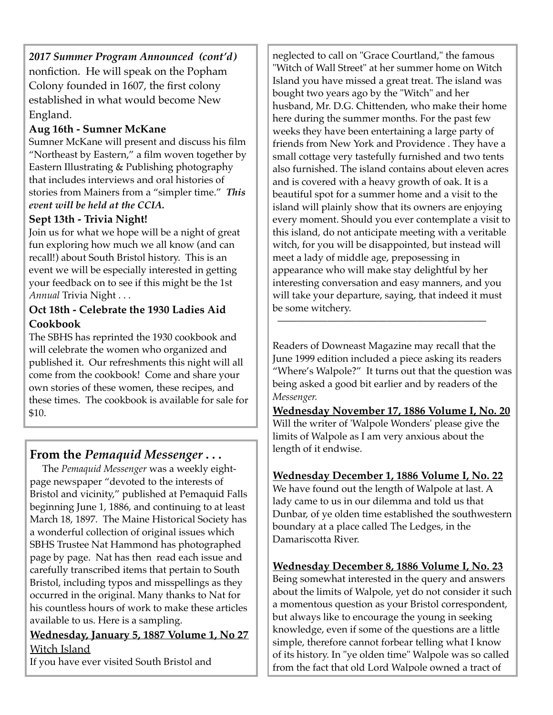*2017 Summer Program Announced (cont'd)* nonfiction. He will speak on the Popham Colony founded in 1607, the first colony established in what would become New England.

## **Aug 16th - Sumner McKane**

Sumner McKane will present and discuss his film "Northeast by Eastern," a film woven together by Eastern Illustrating & Publishing photography that includes interviews and oral histories of stories from Mainers from a "simpler time." *This event will be held at the CCIA.* 

## **Sept 13th - Trivia Night!**

Join us for what we hope will be a night of great fun exploring how much we all know (and can recall!) about South Bristol history. This is an event we will be especially interested in getting your feedback on to see if this might be the 1st *Annual* Trivia Night . . .

## **Oct 18th - Celebrate the 1930 Ladies Aid Cookbook**

The SBHS has reprinted the 1930 cookbook and will celebrate the women who organized and published it. Our refreshments this night will all come from the cookbook! Come and share your own stories of these women, these recipes, and these times. The cookbook is available for sale for \$10.

## **From the** *Pemaquid Messenger* **. . .**

 The *Pemaquid Messenger* was a weekly eightpage newspaper "devoted to the interests of Bristol and vicinity," published at Pemaquid Falls beginning June 1, 1886, and continuing to at least March 18, 1897. The Maine Historical Society has a wonderful collection of original issues which SBHS Trustee Nat Hammond has photographed page by page. Nat has then read each issue and carefully transcribed items that pertain to South Bristol, including typos and misspellings as they occurred in the original. Many thanks to Nat for his countless hours of work to make these articles available to us. Here is a sampling.

**Wednesday, January 5, 1887 Volume 1, No 27** Witch Island

If you have ever visited South Bristol and

neglected to call on "Grace Courtland," the famous "Witch of Wall Street" at her summer home on Witch Island you have missed a great treat. The island was bought two years ago by the "Witch" and her husband, Mr. D.G. Chittenden, who make their home here during the summer months. For the past few weeks they have been entertaining a large party of friends from New York and Providence . They have a small cottage very tastefully furnished and two tents also furnished. The island contains about eleven acres and is covered with a heavy growth of oak. It is a beautiful spot for a summer home and a visit to the island will plainly show that its owners are enjoying every moment. Should you ever contemplate a visit to this island, do not anticipate meeting with a veritable witch, for you will be disappointed, but instead will meet a lady of middle age, preposessing in appearance who will make stay delightful by her interesting conversation and easy manners, and you will take your departure, saying, that indeed it must be some witchery.

Readers of Downeast Magazine may recall that the June 1999 edition included a piece asking its readers "Where's Walpole?" It turns out that the question was being asked a good bit earlier and by readers of the *Messenger.*

 $\overline{\phantom{a}}$  , and the contract of the contract of the contract of the contract of the contract of the contract of the contract of the contract of the contract of the contract of the contract of the contract of the contrac

**Wednesday November 17, 1886 Volume I, No. 20** Will the writer of 'Walpole Wonders' please give the limits of Walpole as I am very anxious about the length of it endwise.

## **Wednesday December 1, 1886 Volume I, No. 22**

We have found out the length of Walpole at last. A lady came to us in our dilemma and told us that Dunbar, of ye olden time established the southwestern boundary at a place called The Ledges, in the Damariscotta River.

## **Wednesday December 8, 1886 Volume I, No. 23**

Being somewhat interested in the query and answers about the limits of Walpole, yet do not consider it such a momentous question as your Bristol correspondent, but always like to encourage the young in seeking knowledge, even if some of the questions are a little simple, therefore cannot forbear telling what I know of its history. In "ye olden time" Walpole was so called from the fact that old Lord Walpole owned a tract of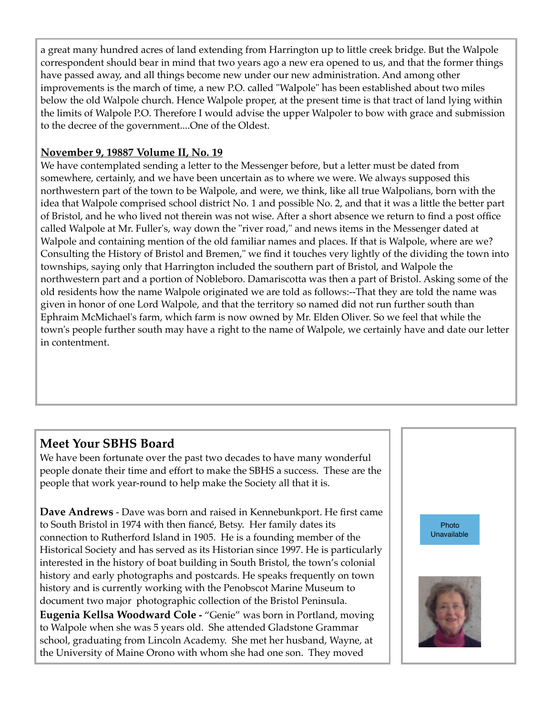a great many hundred acres of land extending from Harrington up to little creek bridge. But the Walpole correspondent should bear in mind that two years ago a new era opened to us, and that the former things have passed away, and all things become new under our new administration. And among other improvements is the march of time, a new P.O. called "Walpole" has been established about two miles below the old Walpole church. Hence Walpole proper, at the present time is that tract of land lying within the limits of Walpole P.O. Therefore I would advise the upper Walpoler to bow with grace and submission to the decree of the government....One of the Oldest.

## **November 9, 19887 Volume II, No. 19**

We have contemplated sending a letter to the Messenger before, but a letter must be dated from somewhere, certainly, and we have been uncertain as to where we were. We always supposed this northwestern part of the town to be Walpole, and were, we think, like all true Walpolians, born with the idea that Walpole comprised school district No. 1 and possible No. 2, and that it was a little the better part of Bristol, and he who lived not therein was not wise. After a short absence we return to find a post office called Walpole at Mr. Fuller's, way down the "river road," and news items in the Messenger dated at Walpole and containing mention of the old familiar names and places. If that is Walpole, where are we? Consulting the History of Bristol and Bremen," we find it touches very lightly of the dividing the town into townships, saying only that Harrington included the southern part of Bristol, and Walpole the northwestern part and a portion of Nobleboro. Damariscotta was then a part of Bristol. Asking some of the old residents how the name Walpole originated we are told as follows:--That they are told the name was given in honor of one Lord Walpole, and that the territory so named did not run further south than Ephraim McMichael's farm, which farm is now owned by Mr. Elden Oliver. So we feel that while the town's people further south may have a right to the name of Walpole, we certainly have and date our letter in contentment.

# **Meet Your SBHS Board**

We have been fortunate over the past two decades to have many wonderful people donate their time and effort to make the SBHS a success. These are the people that work year-round to help make the Society all that it is.

**Dave Andrews** - Dave was born and raised in Kennebunkport. He first came to South Bristol in 1974 with then fiancé, Betsy. Her family dates its connection to Rutherford Island in 1905. He is a founding member of the Historical Society and has served as its Historian since 1997. He is particularly interested in the history of boat building in South Bristol, the town's colonial history and early photographs and postcards. He speaks frequently on town history and is currently working with the Penobscot Marine Museum to document two major photographic collection of the Bristol Peninsula. **Eugenia Kellsa Woodward Cole -** "Genie" was born in Portland, moving to Walpole when she was 5 years old. She attended Gladstone Grammar school, graduating from Lincoln Academy. She met her husband, Wayne, at the University of Maine Orono with whom she had one son. They moved

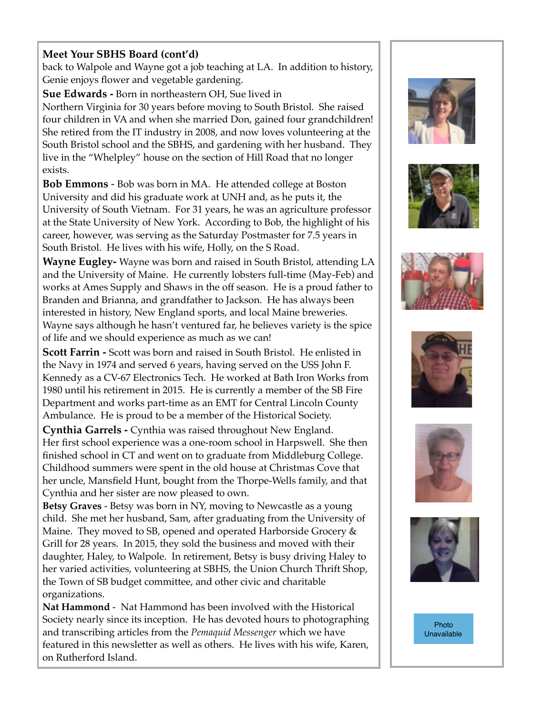## **Meet Your SBHS Board (cont'd)**

back to Walpole and Wayne got a job teaching at LA. In addition to history, Genie enjoys flower and vegetable gardening.

**Sue Edwards -** Born in northeastern OH, Sue lived in Northern Virginia for 30 years before moving to South Bristol. She raised four children in VA and when she married Don, gained four grandchildren! She retired from the IT industry in 2008, and now loves volunteering at the South Bristol school and the SBHS, and gardening with her husband. They live in the "Whelpley" house on the section of Hill Road that no longer exists.

**Bob Emmons** - Bob was born in MA. He attended college at Boston University and did his graduate work at UNH and, as he puts it, the University of South Vietnam. For 31 years, he was an agriculture professor at the State University of New York. According to Bob, the highlight of his career, however, was serving as the Saturday Postmaster for 7.5 years in South Bristol. He lives with his wife, Holly, on the S Road.

**Wayne Eugley-** Wayne was born and raised in South Bristol, attending LA and the University of Maine. He currently lobsters full-time (May-Feb) and works at Ames Supply and Shaws in the off season. He is a proud father to Branden and Brianna, and grandfather to Jackson. He has always been interested in history, New England sports, and local Maine breweries. Wayne says although he hasn't ventured far, he believes variety is the spice of life and we should experience as much as we can!

**Scott Farrin -** Scott was born and raised in South Bristol. He enlisted in the Navy in 1974 and served 6 years, having served on the USS John F. Kennedy as a CV-67 Electronics Tech. He worked at Bath Iron Works from 1980 until his retirement in 2015. He is currently a member of the SB Fire Department and works part-time as an EMT for Central Lincoln County Ambulance. He is proud to be a member of the Historical Society.

**Cynthia Garrels -** Cynthia was raised throughout New England. Her first school experience was a one-room school in Harpswell. She then finished school in CT and went on to graduate from Middleburg College. Childhood summers were spent in the old house at Christmas Cove that her uncle, Mansfield Hunt, bought from the Thorpe-Wells family, and that Cynthia and her sister are now pleased to own.

**Betsy Graves** - Betsy was born in NY, moving to Newcastle as a young child. She met her husband, Sam, after graduating from the University of Maine. They moved to SB, opened and operated Harborside Grocery & Grill for 28 years. In 2015, they sold the business and moved with their daughter, Haley, to Walpole. In retirement, Betsy is busy driving Haley to her varied activities, volunteering at SBHS, the Union Church Thrift Shop, the Town of SB budget committee, and other civic and charitable organizations.

**Nat Hammond** - Nat Hammond has been involved with the Historical Society nearly since its inception. He has devoted hours to photographing and transcribing articles from the *Pemaquid Messenger* which we have featured in this newsletter as well as others. He lives with his wife, Karen, on Rutherford Island.













Photo Unavailable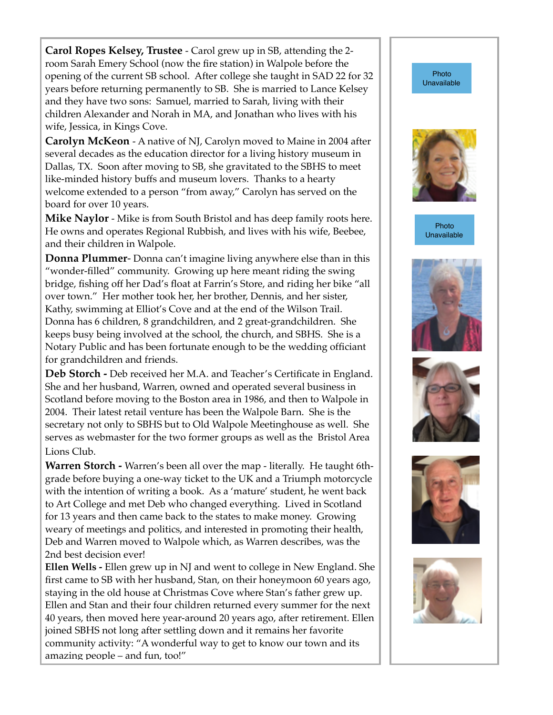**Carol Ropes Kelsey, Trustee** - Carol grew up in SB, attending the 2 room Sarah Emery School (now the fire station) in Walpole before the opening of the current SB school. After college she taught in SAD 22 for 32 years before returning permanently to SB. She is married to Lance Kelsey and they have two sons: Samuel, married to Sarah, living with their children Alexander and Norah in MA, and Jonathan who lives with his wife, Jessica, in Kings Cove.

**Carolyn McKeon** - A native of NJ, Carolyn moved to Maine in 2004 after several decades as the education director for a living history museum in Dallas, TX. Soon after moving to SB, she gravitated to the SBHS to meet like-minded history buffs and museum lovers. Thanks to a hearty welcome extended to a person "from away," Carolyn has served on the board for over 10 years.

**Mike Naylor -** Mike is from South Bristol and has deep family roots here. He owns and operates Regional Rubbish, and lives with his wife, Beebee, and their children in Walpole.

**Donna Plummer**- Donna can't imagine living anywhere else than in this "wonder-filled" community. Growing up here meant riding the swing bridge, fishing off her Dad's float at Farrin's Store, and riding her bike "all over town." Her mother took her, her brother, Dennis, and her sister, Kathy, swimming at Elliot's Cove and at the end of the Wilson Trail. Donna has 6 children, 8 grandchildren, and 2 great-grandchildren. She keeps busy being involved at the school, the church, and SBHS. She is a Notary Public and has been fortunate enough to be the wedding officiant for grandchildren and friends.

**Deb Storch -** Deb received her M.A. and Teacher's Certificate in England. She and her husband, Warren, owned and operated several business in Scotland before moving to the Boston area in 1986, and then to Walpole in 2004. Their latest retail venture has been the Walpole Barn. She is the secretary not only to SBHS but to Old Walpole Meetinghouse as well. She serves as webmaster for the two former groups as well as the Bristol Area Lions Club.

**Warren Storch -** Warren's been all over the map - literally. He taught 6thgrade before buying a one-way ticket to the UK and a Triumph motorcycle with the intention of writing a book. As a 'mature' student, he went back to Art College and met Deb who changed everything. Lived in Scotland for 13 years and then came back to the states to make money. Growing weary of meetings and politics, and interested in promoting their health, Deb and Warren moved to Walpole which, as Warren describes, was the 2nd best decision ever!

**Ellen Wells -** Ellen grew up in NJ and went to college in New England. She first came to SB with her husband, Stan, on their honeymoon 60 years ago, staying in the old house at Christmas Cove where Stan's father grew up. Ellen and Stan and their four children returned every summer for the next 40 years, then moved here year-around 20 years ago, after retirement. Ellen joined SBHS not long after settling down and it remains her favorite community activity: "A wonderful way to get to know our town and its amazing people – and fun, too!"



Photo **Unavailable** 

Photo Unavailable